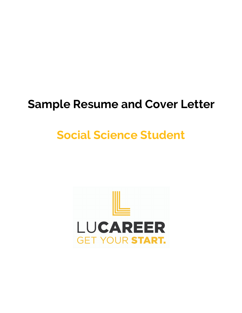## **Sample Resume and Cover Letter**

# **Social Science Student**

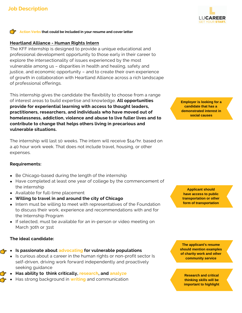

#### **Action Verbs that could be included in your resume and cover letter**

#### **Heartland Alliance - Human Rights Intern**

The KFF internship is designed to provide a unique educational and professional development opportunity to those early in their career to explore the intersectionality of issues experienced by the most vulnerable among us – disparities in health and healing, safety and justice, and economic opportunity – and to create their own experience of growth in collaboration with Heartland Alliance across a rich landscape of professional offerings.

This internship gives the candidate the flexibility to choose from a range of interest areas to build expertise and knowledge. **All opportunities provide for experiential learning with access to thought leaders, practitioners, researchers, and individuals who have moved out of homelessness, addiction, violence and abuse to live fuller lives and to contribute to change that helps others living in precarious and vulnerable situations.**

The internship will last 10 weeks. The intern will receive \$14/hr. based on a 40 hour work week. That does not include travel, housing, or other expenses.

**Requirements:**

- Be Chicago-based during the length of the internship
- Have completed at least one year of college by the commencement of the internship
- Available for full-time placement
- **Willing to travel in and around the city of Chicago**
- Intern must be willing to meet with representatives of the Foundation to discuss their work, experience and recommendations with and for the Internship Program
- **If selected, must be available for an in-person or video meeting on** March 30th or 31st

#### **The ideal candidate:**

Æ

- **Is passionate about advocating for vulnerable populations**
- Is curious about a career in the human rights or non-profit sector Is self-driven, driving work forward independently and proactively seeking guidance
- **Has ability to think critically, research, and analyze**
- Has strong background in **writing** and communication

**Employer is looking for a candidate that has a demonstrated interest in social causes**

**Applicant should have access to public transportation or other form of transportation**

**The applicant's resume should mention examples of charity work and other community service**

**Research and critical thinking skills will be important to highlight**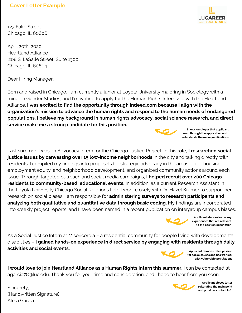## **Cover Letter Example**



123 Fake Street Chicago, IL 60606

April 20th, 2020 Heartland Alliance '208 S. LaSalle Street, Suite 1300 Chicago, IL 60604

Dear Hiring Manager,

Born and raised in Chicago, I am currently a junior at Loyola University majoring in Sociology with a minor in Gender Studies, and I'm writing to apply for the Human Rights Internship with the Heartland Alliance. **I was excited to find the opportunity through Indeed.com because I align with the organization's mission to advance the human rights and respond to the human needs of endangered populations. I believe my background in human rights advocacy, social science research, and direct service make me a strong candidate for this position.**



**Shows employer that applicant read through the application and understands the main qualifications**

Last summer, I was an Advocacy Intern for the Chicago Justice Project. In this role, **I researched social justice issues by canvassing over 15 low-income neighborhoods** in the city and talking directly with residents. I compiled my findings into proposals for strategic advocacy in the areas of fair housing, employment equity, and neighborhood development, and organized community actions around each issue. Through targeted outreach and social media campaigns, **I helped recruit over 200 Chicago residents to community-based, educational events.** In addition, as a current Research Assistant in the Loyola University Chicago Social Relations Lab, I work closely with Dr. Hazel Kramer to support her research on social biases. I am responsible for **administering surveys to research participants and analyzing both qualitative and quantitative data through basic coding.** My findings are incorporated into weekly project reports, and I have been named in a recent publication on intergroup campus biases.



**Applicant elaborates on key experiences that are relevant to the position description**

As a Social Justice Intern at Misericordia – a residential community for people living with developmental disabilities – **I gained hands-on experience in direct service by engaging with residents through daily activities and social events.**



**Applicant demonstrates passion for social causes and has worked with vulnerable populations**

**I would love to join Heartland Alliance as a Human Rights Intern this summer.** I can be contacted at agarcia78@luc.edu. Thank you for your time and consideration, and I hope to hear from you soon.

Sincerely, (Handwritten Signature) Alma Garcia



**Applicant closes letter reiterating the main point and provides contact info**